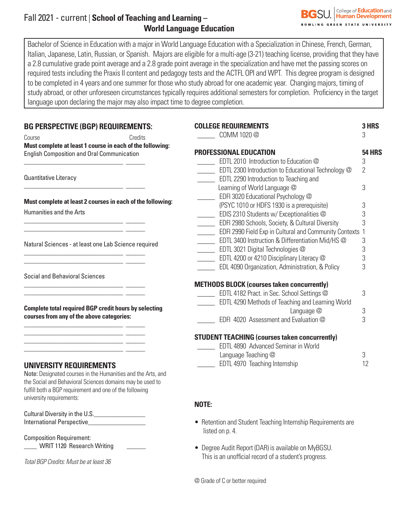# Fall 2021 - current | **School of Teaching and Learning – World Language Education**

Bachelor of Science in Education with a major in World Language Education with a Specialization in Chinese, French, German, Italian, Japanese, Latin, Russian, or Spanish. Majors are eligible for a multi-age (3-21) teaching license, providing that they have a 2.8 cumulative grade point average and a 2.8 grade point average in the specialization and have met the passing scores on required tests including the Praxis II content and pedagogy tests and the ACTFL OPI and WPT. This degree program is designed to be completed in 4 years and one summer for those who study abroad for one academic year. Changing majors, timing of study abroad, or other unforeseen circumstances typically requires additional semesters for completion. Proficiency in the target language upon declaring the major may also impact time to degree completion.

| <b>BG PERSPECTIVE (BGP) REQUIREMENTS:</b>                                                                             |                                                                                                                           | <b>COLLEGE REQUIREMENTS</b><br>3 HRS                                                                                     |               |
|-----------------------------------------------------------------------------------------------------------------------|---------------------------------------------------------------------------------------------------------------------------|--------------------------------------------------------------------------------------------------------------------------|---------------|
| Course                                                                                                                | Credits                                                                                                                   | COMM 1020 @                                                                                                              | 3             |
| Must complete at least 1 course in each of the following:<br><b>English Composition and Oral Communication</b>        |                                                                                                                           | PROFESSIONAL EDUCATION                                                                                                   | <b>54 HRS</b> |
|                                                                                                                       |                                                                                                                           | EDTL 2010 Introduction to Education @                                                                                    | 3             |
| Quantitative Literacy                                                                                                 |                                                                                                                           | EDTL 2300 Introduction to Educational Technology @<br><b>EDTL 2290 Introduction to Teaching and</b>                      | 2             |
|                                                                                                                       | Must complete at least 2 courses in each of the following:                                                                | Learning of World Language @<br>EDFI 3020 Educational Psychology @                                                       | 3             |
| <b>Humanities and the Arts</b>                                                                                        |                                                                                                                           | (PSYC 1010 or HDFS 1930 is a prerequisite)                                                                               | 3             |
|                                                                                                                       |                                                                                                                           | EDIS 2310 Students w/ Exceptionalities @<br>EDFI 2980 Schools, Society, & Cultural Diversity<br>$\overline{\phantom{a}}$ | 3<br>3        |
|                                                                                                                       | EDFI 2990 Field Exp in Cultural and Community Contexts 1                                                                  |                                                                                                                          |               |
| Natural Sciences - at least one Lab Science required                                                                  |                                                                                                                           | EDTL 3400 Instruction & Differentiation Mid/HS @                                                                         | 3             |
|                                                                                                                       |                                                                                                                           | EDTL 3021 Digital Technologies @                                                                                         | 3             |
|                                                                                                                       |                                                                                                                           | EDTL 4200 or 4210 Disciplinary Literacy @<br>EDL 4090 Organization, Administration, & Policy                             | 3<br>3        |
| <b>Social and Behavioral Sciences</b>                                                                                 |                                                                                                                           |                                                                                                                          |               |
|                                                                                                                       |                                                                                                                           | <b>METHODS BLOCK (courses taken concurrently)</b>                                                                        |               |
|                                                                                                                       |                                                                                                                           | <b>EDTL 4182 Pract. in Sec. School Settings @</b>                                                                        | 3             |
| <b>Complete total required BGP credit hours by selecting</b><br>courses from any of the above categories:             |                                                                                                                           | EDTL 4290 Methods of Teaching and Learning World                                                                         |               |
|                                                                                                                       |                                                                                                                           | Language @                                                                                                               | 3             |
|                                                                                                                       |                                                                                                                           | EDFI 4020 Assessment and Evaluation @                                                                                    | 3             |
| <u> 1989 - Johann Harrison, mars eta bat eta bat erroman erroman erroman ez erroman ez erroman ez erroman ez ez e</u> |                                                                                                                           | <b>STUDENT TEACHING (courses taken concurrently)</b>                                                                     |               |
|                                                                                                                       |                                                                                                                           | EDTL 4890 Advanced Seminar in World                                                                                      |               |
|                                                                                                                       |                                                                                                                           | Language Teaching @                                                                                                      | 3             |
| <b>UNIVERSITY REQUIREMENTS</b><br>fulfill both a BGP requirement and one of the following<br>university requirements: | Note: Designated courses in the Humanities and the Arts, and<br>the Social and Behavioral Sciences domains may be used to | <b>EDTL 4970 Teaching Internship</b>                                                                                     | 12            |
|                                                                                                                       |                                                                                                                           | NOTE:                                                                                                                    |               |
| Cultural Diversity in the U.S.                                                                                        |                                                                                                                           |                                                                                                                          |               |

International Perspective\_\_\_\_\_\_\_\_\_\_\_\_\_\_\_\_\_\_

Composition Requirement: \_\_\_\_ WRIT 1120 Research Writing \_\_\_\_\_\_

*Total BGP Credits: Must be at least 36*

@ Grade of C or better required

listed on p. 4.

• Retention and Student Teaching Internship Requirements are

• Degree Audit Report (DAR) is available on MyBGSU. This is an unofficial record of a student's progress.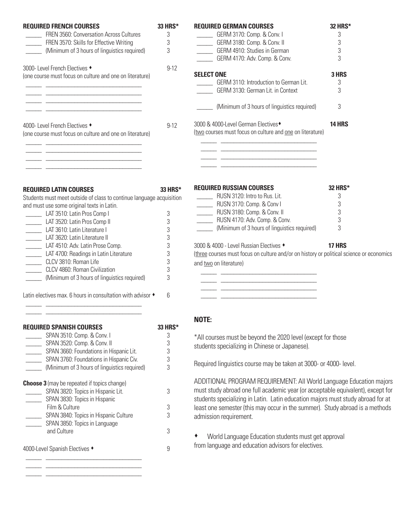| <b>REQUIRED FRENCH COURSES</b><br>33 HRS*                                                                            |          | <b>REQUIRED GERMAN COURSES</b>                                                                                        | 32 HRS*       |
|----------------------------------------------------------------------------------------------------------------------|----------|-----------------------------------------------------------------------------------------------------------------------|---------------|
| FREN 3560: Conversation Across Cultures                                                                              | 3        | GERM 3170: Comp. & Conv. I                                                                                            | 3             |
| FREN 3570: Skills for Effective Writing                                                                              | 3        | GERM 3180: Comp. & Conv. II                                                                                           | 3             |
| (Minimum of 3 hours of linguistics required)                                                                         | 3        | GERM 4910: Studies in German                                                                                          | 3             |
|                                                                                                                      |          | GERM 4170: Adv. Comp. & Conv.                                                                                         | 3             |
| 3000- Level French Electives +                                                                                       | $9 - 12$ |                                                                                                                       |               |
| (one course must focus on culture and one on literature)                                                             |          | <b>SELECT ONE</b>                                                                                                     | 3 HRS         |
|                                                                                                                      |          | GERM 3110: Introduction to German Lit.                                                                                | 3             |
| <u> 1989 - Johann Barn, mars eta biztanleria (h. 1982).</u>                                                          |          | GERM 3130: German Lit. in Context                                                                                     | 3             |
| <u> 1980 - Jan James James James James James James James James James James James James James James James James J</u> |          | (Minimum of 3 hours of linguistics required)                                                                          | 3             |
| 4000- Level French Electives +                                                                                       | $9 - 12$ | 3000 & 4000-Level German Electives <sup>+</sup>                                                                       | <b>14 HRS</b> |
| (one course must focus on culture and one on literature)                                                             |          | (two courses must focus on culture and one on literature)                                                             |               |
|                                                                                                                      |          |                                                                                                                       |               |
|                                                                                                                      |          | <u> 1989 - Jan James James James James James James James James James James James James James James James James Ja</u> |               |
| the contract of the contract of the contract of the contract of the contract of                                      |          |                                                                                                                       |               |
|                                                                                                                      |          |                                                                                                                       |               |
| <b>REQUIRED LATIN COURSES</b>                                                                                        | 33 HRS*  | <b>REQUIRED RUSSIAN COURSES</b>                                                                                       | 32 HRS*       |
| Students must meet outside of class to continue language acquisition                                                 |          | RUSN 3120: Intro to Rus. Lit.                                                                                         | 3             |
| and must use some original texts in Latin.                                                                           |          | RUSN 3170: Comp. & Conv I                                                                                             | 3             |
| LAT 3510: Latin Pros Comp I                                                                                          | 3        | RUSN 3180: Comp. & Conv. II                                                                                           | 3             |
| LAT 3520: Latin Pros Comp II                                                                                         | $\,3$    | RUSN 4170: Adv. Comp. & Conv.                                                                                         |               |
| LAT 3610: Latin Literature I                                                                                         | 3        | (Minimum of 3 hours of linguistics required)                                                                          | 3             |
| LAT 3620: Latin Literature II                                                                                        | 3        |                                                                                                                       |               |
| LAT 4510: Adv. Latin Prose Comp.                                                                                     | 3        | 3000 & 4000 - Level Russian Electives •                                                                               | <b>17 HRS</b> |
| 3<br>LAT 4700: Readings in Latin Literature                                                                          |          | (three courses must focus on culture and/or on history or political science or economics                              |               |
| CLCV 3810: Roman Life                                                                                                | 3        | and two on literature)                                                                                                |               |
| CLCV 4860: Roman Civilization                                                                                        | 3        |                                                                                                                       |               |
| (Minimum of 3 hours of linguistics required)                                                                         | 3        |                                                                                                                       |               |
| Latin electives max. 6 hours in consultation with advisor $\bullet$                                                  | 6        |                                                                                                                       |               |

| Required Spanish Courses                           |   |
|----------------------------------------------------|---|
| SPAN 3510: Comp. & Conv. I                         | 3 |
| SPAN 3520: Comp. & Conv. II                        | 3 |
| SPAN 3660: Foundations in Hispanic Lit.            | 3 |
| SPAN 3760: Foundations in Hispanic Civ.            | 3 |
| (Minimum of 3 hours of linguistics required)       | 3 |
| <b>Choose 3</b> (may be repeated if topics change) |   |
| SPAN 3820: Topics in Hispanic Lit.                 | 3 |
| SPAN 3830: Topics in Hispanic                      |   |
| Film & Culture                                     | 3 |
| SPAN 3840: Topics in Hispanic Culture              | 3 |
| SPAN 3850: Topics in Language                      |   |
| and Culture                                        | 3 |
| 4000-Level Spanish Electives ◆                     | 9 |

 $\frac{1}{\sqrt{2\pi}}\frac{1}{\sqrt{2\pi}}\left[\frac{1}{\sqrt{2\pi}}\frac{1}{\sqrt{2\pi}}\frac{1}{\sqrt{2\pi}}\frac{1}{\sqrt{2\pi}}\frac{1}{\sqrt{2\pi}}\frac{1}{\sqrt{2\pi}}\frac{1}{\sqrt{2\pi}}\frac{1}{\sqrt{2\pi}}\frac{1}{\sqrt{2\pi}}\frac{1}{\sqrt{2\pi}}\frac{1}{\sqrt{2\pi}}\frac{1}{\sqrt{2\pi}}\frac{1}{\sqrt{2\pi}}\frac{1}{\sqrt{2\pi}}\frac{1}{\sqrt{2\pi}}\frac{1}{\sqrt{2\pi}}\frac$  $\frac{1}{\sqrt{2\pi}}\frac{1}{\sqrt{2\pi}}\left[\frac{1}{\sqrt{2\pi}}\frac{1}{\sqrt{2\pi}}\frac{1}{\sqrt{2\pi}}\frac{1}{\sqrt{2\pi}}\frac{1}{\sqrt{2\pi}}\frac{1}{\sqrt{2\pi}}\frac{1}{\sqrt{2\pi}}\frac{1}{\sqrt{2\pi}}\frac{1}{\sqrt{2\pi}}\frac{1}{\sqrt{2\pi}}\frac{1}{\sqrt{2\pi}}\frac{1}{\sqrt{2\pi}}\frac{1}{\sqrt{2\pi}}\frac{1}{\sqrt{2\pi}}\frac{1}{\sqrt{2\pi}}\frac{1}{\sqrt{2\pi}}\frac$  $\frac{1}{\sqrt{2\pi}}\frac{1}{\sqrt{2\pi}}\left[\frac{1}{\sqrt{2\pi}}\frac{1}{\sqrt{2\pi}}\frac{1}{\sqrt{2\pi}}\frac{1}{\sqrt{2\pi}}\frac{1}{\sqrt{2\pi}}\frac{1}{\sqrt{2\pi}}\frac{1}{\sqrt{2\pi}}\frac{1}{\sqrt{2\pi}}\frac{1}{\sqrt{2\pi}}\frac{1}{\sqrt{2\pi}}\frac{1}{\sqrt{2\pi}}\frac{1}{\sqrt{2\pi}}\frac{1}{\sqrt{2\pi}}\frac{1}{\sqrt{2\pi}}\frac{1}{\sqrt{2\pi}}\frac{1}{\sqrt{2\pi}}\frac$ 

 $\frac{1}{\sqrt{2\pi}}\frac{1}{\sqrt{2\pi}}\left[\frac{1}{\sqrt{2\pi}}\frac{1}{\sqrt{2\pi}}\frac{1}{\sqrt{2\pi}}\frac{1}{\sqrt{2\pi}}\frac{1}{\sqrt{2\pi}}\frac{1}{\sqrt{2\pi}}\frac{1}{\sqrt{2\pi}}\frac{1}{\sqrt{2\pi}}\frac{1}{\sqrt{2\pi}}\frac{1}{\sqrt{2\pi}}\frac{1}{\sqrt{2\pi}}\frac{1}{\sqrt{2\pi}}\frac{1}{\sqrt{2\pi}}\frac{1}{\sqrt{2\pi}}\frac{1}{\sqrt{2\pi}}\frac{1}{\sqrt{2\pi}}\frac$  $\frac{1}{\sqrt{2\pi}}\frac{1}{\sqrt{2\pi}}\left[\frac{1}{\sqrt{2\pi}}\frac{1}{\sqrt{2\pi}}\frac{1}{\sqrt{2\pi}}\frac{1}{\sqrt{2\pi}}\frac{1}{\sqrt{2\pi}}\frac{1}{\sqrt{2\pi}}\frac{1}{\sqrt{2\pi}}\frac{1}{\sqrt{2\pi}}\frac{1}{\sqrt{2\pi}}\frac{1}{\sqrt{2\pi}}\frac{1}{\sqrt{2\pi}}\frac{1}{\sqrt{2\pi}}\frac{1}{\sqrt{2\pi}}\frac{1}{\sqrt{2\pi}}\frac{1}{\sqrt{2\pi}}\frac{1}{\sqrt{2\pi}}\frac$ 

## **NOTE:**

\*All courses must be beyond the 2020 level (except for those students specializing in Chinese or Japanese).

Required linguistics course may be taken at 3000- or 4000- level.

ADDITIONAL PROGRAM REQUIREMENT: All World Language Education majors must study abroad one full academic year (or acceptable equivalent), except for students specializing in Latin. Latin education majors must study abroad for at least one semester (this may occur in the summer). Study abroad is a methods admission requirement.

 $\bullet$  World Language Education students must get approval from language and education advisors for electives.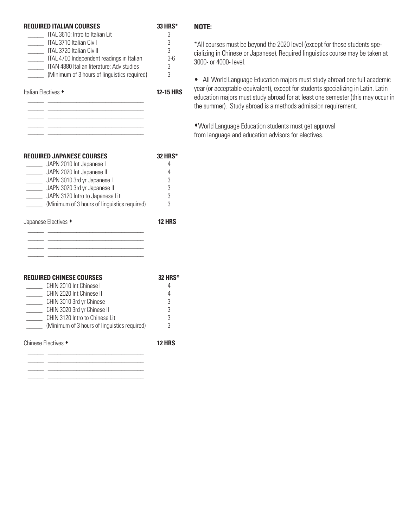| <b>REQUIRED ITALIAN COURSES</b><br>ITAL 3610: Intro to Italian Lit<br>ITAL 3710 Italian Civ I<br>ITAL 3720 Italian Civ II<br>ITAL 4700 Independent readings in Italian<br>ITAN 4880 Italian literature: Adv studies<br>(Minimum of 3 hours of linguistics required) | 33 HRS*<br>3<br>3<br>3<br>$3-6$<br>3<br>3    |
|---------------------------------------------------------------------------------------------------------------------------------------------------------------------------------------------------------------------------------------------------------------------|----------------------------------------------|
| Italian Electives<br><u> 1980 - Johann John Stone, mensk politik (d. 1980)</u><br><u> 1980 - Johann John Stein, marwolaeth a bhliain 1980.</u>                                                                                                                      | <b>12-15 HRS</b>                             |
| <b>REQUIRED JAPANESE COURSES</b><br>JAPN 2010 Int Japanese I<br>JAPN 2020 Int Japanese II<br>JAPN 3010 3rd yr Japanese I<br>JAPN 3020 3rd yr Japanese II<br>________ JAPN 3120 Intro to Japanese Lit<br>(Minimum of 3 hours of linguistics required)                | <b>32 HRS*</b><br>4<br>4<br>3<br>3<br>3<br>3 |
| Japanese Electives •                                                                                                                                                                                                                                                | <b>12 HRS</b>                                |
| <b>REQUIRED CHINESE COURSES</b><br>CHIN 2010 Int Chinese I<br>CHIN 2020 Int Chinese II<br>CHIN 3010 3rd yr Chinese<br>CHIN 3020 3rd yr Chinese II<br>CHIN 3120 Intro to Chinese Lit<br>(Minimum of 3 hours of linguistics required)                                 | <b>32 HRS*</b><br>4<br>4<br>3<br>3<br>კ<br>3 |
| Chinese Electives +                                                                                                                                                                                                                                                 | 12 HRS                                       |

 $\frac{1}{2}$  ,  $\frac{1}{2}$  ,  $\frac{1}{2}$  ,  $\frac{1}{2}$  ,  $\frac{1}{2}$  ,  $\frac{1}{2}$  ,  $\frac{1}{2}$  ,  $\frac{1}{2}$  ,  $\frac{1}{2}$  ,  $\frac{1}{2}$  ,  $\frac{1}{2}$  ,  $\frac{1}{2}$  ,  $\frac{1}{2}$  ,  $\frac{1}{2}$  ,  $\frac{1}{2}$  ,  $\frac{1}{2}$  ,  $\frac{1}{2}$  ,  $\frac{1}{2}$  ,  $\frac{1$ 

### **NOTE:**

\*All courses must be beyond the 2020 level (except for those students specializing in Chinese or Japanese). Required linguistics course may be taken at 3000- or 4000- level.

• All World Language Education majors must study abroad one full academic year (or acceptable equivalent), except for students specializing in Latin. Latin education majors must study abroad for at least one semester (this may occur in the summer). Study abroad is a methods admission requirement.

sWorld Language Education students must get approval from language and education advisors for electives.